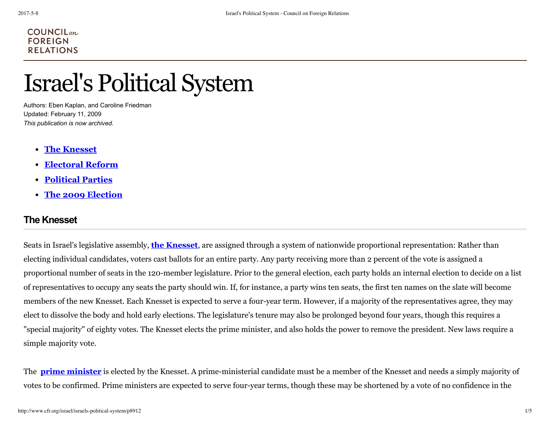#### $COUNTLM$ **FOREIGN RELATIONS**

# Israel's Political System

Authors: Eben Kaplan, and Caroline Friedman Updated: February 11, 2009 *This publication is now archived.*

- **The Knesset**
- **Electoral Reform**
- **Political Parties**
- **The 2009 Election**

# **The Knesset**

Seats in Israel's legislative assembly, **the Knesset**, are assigned through a system of nationwide proportional representation: Rather than electing individual candidates, voters cast ballots for an entire party. Any party receiving more than 2 percent of the vote is assigned a proportional number of seats in the 120-member legislature. Prior to the general election, each party holds an internal election to decide on a list of representatives to occupy any seats the party should win. If, for instance, a party wins ten seats, the first ten names on the slate will become members of the new Knesset. Each Knesset is expected to serve a four-year term. However, if a majority of the representatives agree, they may elect to dissolve the body and hold early elections. The legislature's tenure may also be prolonged beyond four years, though this requires a "special majority" of eighty votes. The Knesset elects the prime minister, and also holds the power to remove the president. New laws require a simple majority vote.

The **prime minister** is elected by the Knesset. A prime-ministerial candidate must be a member of the Knesset and needs a simply majority of votes to be confirmed. Prime ministers are expected to serve four-year terms, though these may be shortened by a vote of no confidence in the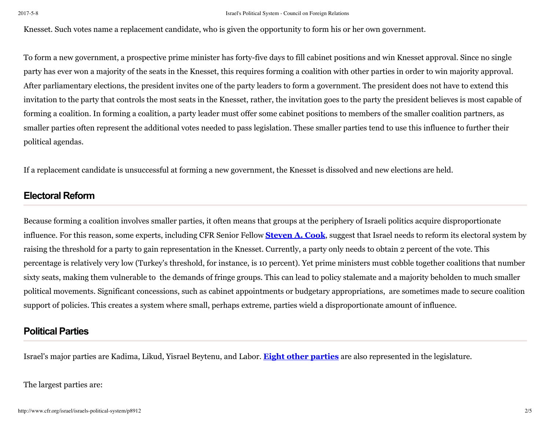Knesset. Such votes name a replacement candidate, who is given the opportunity to form his or her own government.

To form a new government, a prospective prime minister has forty-five days to fill cabinet positions and win Knesset approval. Since no single party has ever won a majority of the seats in the Knesset, this requires forming a coalition with other parties in order to win majority approval. After parliamentary elections, the president invites one of the party leaders to form a government. The president does not have to extend this invitation to the party that controls the most seats in the Knesset, rather, the invitation goes to the party the president believes is most capable of forming a coalition. In forming a coalition, a party leader must offer some cabinet positions to members of the smaller coalition partners, as smaller parties often represent the additional votes needed to pass legislation. These smaller parties tend to use this influence to further their political agendas.

If a replacement candidate is unsuccessful at forming a new government, the Knesset is dissolved and new elections are held.

# **Electoral Reform**

Because forming a coalition involves smaller parties, it often means that groups at the periphery of Israeli politics acquire disproportionate influence. For this reason, some experts, including CFR Senior Fellow **Steven A. Cook**, suggest that Israel needs to reform its electoral system by raising the threshold for a party to gain representation in the Knesset. Currently, a party only needs to obtain 2 percent of the vote. This percentage is relatively very low (Turkey's threshold, for instance, is 10 percent). Yet prime ministers must cobble together coalitions that number sixty seats, making them vulnerable to the demands of fringe groups. This can lead to policy stalemate and a majority beholden to much smaller political movements. Significant concessions, such as cabinet appointments or budgetary appropriations, are sometimes made to secure coalition support of policies. This creates a system where small, perhaps extreme, parties wield a disproportionate amount of influence.

#### **Political Parties**

Israel's major parties are Kadima, Likud, Yisrael Beytenu, and Labor. **Eight other parties** are also represented in the legislature.

The largest parties are: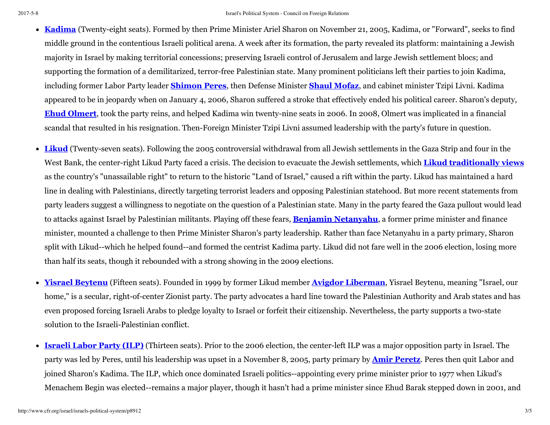- **Kadima** (Twenty-eight seats). Formed by then Prime Minister Ariel Sharon on November 21, 2005, Kadima, or "Forward", seeks to find middle ground in the contentious Israeli political arena. A week after its formation, the party revealed its platform: maintaining a Jewish majority in Israel by making territorial concessions; preserving Israeli control of Jerusalem and large Jewish settlement blocs; and supporting the formation of a demilitarized, terror-free Palestinian state. Many prominent politicians left their parties to join Kadima, including former Labor Party leader **Shimon Peres**, then Defense Minister **Shaul Mofaz**, and cabinet minister Tzipi Livni. Kadima appeared to be in jeopardy when on January 4, 2006, Sharon suffered a stroke that effectively ended his political career. Sharon's deputy, **Ehud Olmert**, took the party reins, and helped Kadima win twenty-nine seats in 2006. In 2008, Olmert was implicated in a financial scandal that resulted in his resignation. Then-Foreign Minister Tzipi Livni assumed leadership with the party's future in question.
- **Likud** (Twenty-seven seats). Following the 2005 controversial withdrawal from all Jewish settlements in the Gaza Strip and four in the West Bank, the center-right Likud Party faced a crisis. The decision to evacuate the Jewish settlements, which **Likud traditionally views** as the country's "unassailable right" to return to the historic "Land of Israel," caused a rift within the party. Likud has maintained a hard line in dealing with Palestinians, directly targeting terrorist leaders and opposing Palestinian statehood. But more recent statements from party leaders suggest a willingness to negotiate on the question of a Palestinian state. Many in the party feared the Gaza pullout would lead to attacks against Israel by Palestinian militants. Playing off these fears, **Benjamin Netanyahu**, a former prime minister and finance minister, mounted a challenge to then Prime Minister Sharon's party leadership. Rather than face Netanyahu in a party primary, Sharon split with Likud--which he helped found--and formed the centrist Kadima party. Likud did not fare well in the 2006 election, losing more than half its seats, though it rebounded with a strong showing in the 2009 elections.
- **Yisrael Beytenu** (Fifteen seats). Founded in 1999 by former Likud member **Avigdor Liberman**, Yisrael Beytenu, meaning "Israel, our home," is a secular, right-of-center Zionist party. The party advocates a hard line toward the Palestinian Authority and Arab states and has even proposed forcing Israeli Arabs to pledge loyalty to Israel or forfeit their citizenship. Nevertheless, the party supports a two-state solution to the Israeli-Palestinian conflict.
- **Israeli Labor Party (ILP)** (Thirteen seats). Prior to the 2006 election, the center-left ILP was a major opposition party in Israel. The party was led by Peres, until his leadership was upset in a November 8, 2005, party primary by **Amir Peretz**. Peres then quit Labor and joined Sharon's Kadima. The ILP, which once dominated Israeli politics--appointing every prime minister prior to 1977 when Likud's Menachem Begin was elected--remains a major player, though it hasn't had a prime minister since Ehud Barak stepped down in 2001, and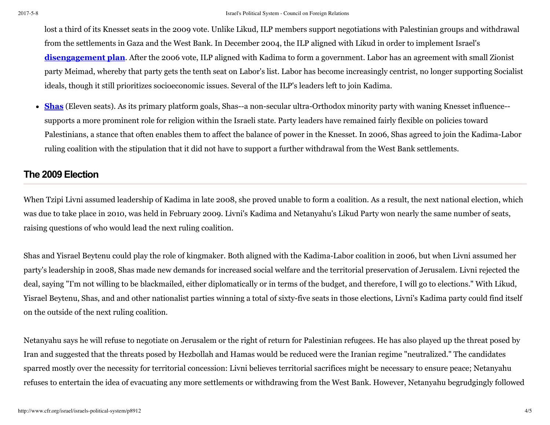lost a third of its Knesset seats in the 2009 vote. Unlike Likud, ILP members support negotiations with Palestinian groups and withdrawal from the settlements in Gaza and the West Bank. In December 2004, the ILP aligned with Likud in order to implement Israel's **disengagement plan**. After the 2006 vote, ILP aligned with Kadima to form a government. Labor has an agreement with small Zionist party Meimad, whereby that party gets the tenth seat on Labor's list. Labor has become increasingly centrist, no longer supporting Socialist ideals, though it still prioritizes socioeconomic issues. Several of the ILP's leaders left to join Kadima.

**Shas** (Eleven seats). As its primary platform goals, Shas--a non-secular ultra-Orthodox minority party with waning Knesset influence- supports a more prominent role for religion within the Israeli state. Party leaders have remained fairly flexible on policies toward Palestinians, a stance that often enables them to affect the balance of power in the Knesset. In 2006, Shas agreed to join the Kadima-Labor ruling coalition with the stipulation that it did not have to support a further withdrawal from the West Bank settlements.

### **The 2009 Election**

When Tzipi Livni assumed leadership of Kadima in late 2008, she proved unable to form a coalition. As a result, the next national election, which was due to take place in 2010, was held in February 2009. Livni's Kadima and Netanyahu's Likud Party won nearly the same number of seats, raising questions of who would lead the next ruling coalition.

Shas and Yisrael Beytenu could play the role of kingmaker. Both aligned with the Kadima-Labor coalition in 2006, but when Livni assumed her party's leadership in 2008, Shas made new demands for increased social welfare and the territorial preservation of Jerusalem. Livni rejected the deal, saying "I'm not willing to be blackmailed, either diplomatically or in terms of the budget, and therefore, I will go to elections." With Likud, Yisrael Beytenu, Shas, and and other nationalist parties winning a total of sixty-five seats in those elections, Livni's Kadima party could find itself on the outside of the next ruling coalition.

Netanyahu says he will refuse to negotiate on Jerusalem or the right of return for Palestinian refugees. He has also played up the threat posed by Iran and suggested that the threats posed by Hezbollah and Hamas would be reduced were the Iranian regime "neutralized." The candidates sparred mostly over the necessity for territorial concession: Livni believes territorial sacrifices might be necessary to ensure peace; Netanyahu refuses to entertain the idea of evacuating any more settlements or withdrawing from the West Bank. However, Netanyahu begrudgingly followed